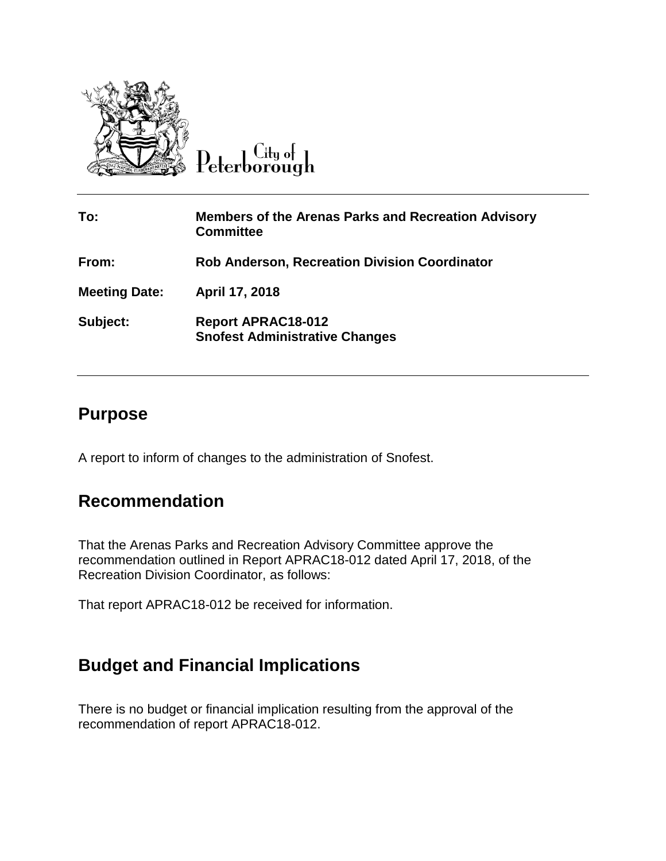

Peterborough

| To:                  | <b>Members of the Arenas Parks and Recreation Advisory</b><br><b>Committee</b> |
|----------------------|--------------------------------------------------------------------------------|
| From:                | <b>Rob Anderson, Recreation Division Coordinator</b>                           |
| <b>Meeting Date:</b> | April 17, 2018                                                                 |
| Subject:             | <b>Report APRAC18-012</b><br><b>Snofest Administrative Changes</b>             |

## **Purpose**

A report to inform of changes to the administration of Snofest.

## **Recommendation**

That the Arenas Parks and Recreation Advisory Committee approve the recommendation outlined in Report APRAC18-012 dated April 17, 2018, of the Recreation Division Coordinator, as follows:

That report APRAC18-012 be received for information.

## **Budget and Financial Implications**

There is no budget or financial implication resulting from the approval of the recommendation of report APRAC18-012.